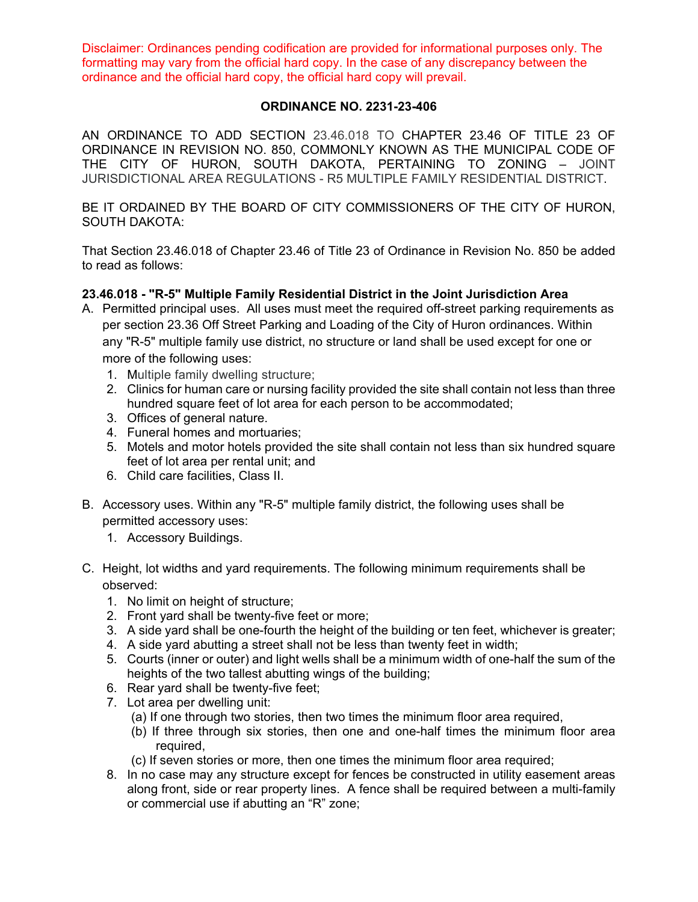Disclaimer: Ordinances pending codification are provided for informational purposes only. The formatting may vary from the official hard copy. In the case of any discrepancy between the ordinance and the official hard copy, the official hard copy will prevail.

## **ORDINANCE NO. 2231-23-406**

AN ORDINANCE TO ADD SECTION 23.46.018 TO CHAPTER 23.46 OF TITLE 23 OF ORDINANCE IN REVISION NO. 850, COMMONLY KNOWN AS THE MUNICIPAL CODE OF THE CITY OF HURON, SOUTH DAKOTA, PERTAINING TO ZONING – JOINT JURISDICTIONAL AREA REGULATIONS - R5 MULTIPLE FAMILY RESIDENTIAL DISTRICT.

BE IT ORDAINED BY THE BOARD OF CITY COMMISSIONERS OF THE CITY OF HURON, SOUTH DAKOTA:

That Section 23.46.018 of Chapter 23.46 of Title 23 of Ordinance in Revision No. 850 be added to read as follows:

## **23.46.018 - "R-5" Multiple Family Residential District in the Joint Jurisdiction Area**

- A. Permitted principal uses. All uses must meet the required off-street parking requirements as per section 23.36 Off Street Parking and Loading of the City of Huron ordinances. Within any "R-5" multiple family use district, no structure or land shall be used except for one or more of the following uses:
	- 1. Multiple family dwelling structure;
	- 2. Clinics for human care or nursing facility provided the site shall contain not less than three hundred square feet of lot area for each person to be accommodated;
	- 3. Offices of general nature.
	- 4. Funeral homes and mortuaries;
	- 5. Motels and motor hotels provided the site shall contain not less than six hundred square feet of lot area per rental unit; and
	- 6. Child care facilities, Class II.
- B. Accessory uses. Within any "R-5" multiple family district, the following uses shall be permitted accessory uses:
	- 1. Accessory Buildings.
- C. Height, lot widths and yard requirements. The following minimum requirements shall be observed:
	- 1. No limit on height of structure;
	- 2. Front yard shall be twenty-five feet or more;
	- 3. A side yard shall be one-fourth the height of the building or ten feet, whichever is greater;
	- 4. A side yard abutting a street shall not be less than twenty feet in width;
	- 5. Courts (inner or outer) and light wells shall be a minimum width of one-half the sum of the heights of the two tallest abutting wings of the building;
	- 6. Rear yard shall be twenty-five feet;
	- 7. Lot area per dwelling unit:
		- (a) If one through two stories, then two times the minimum floor area required,
		- (b) If three through six stories, then one and one-half times the minimum floor area required,
		- (c) If seven stories or more, then one times the minimum floor area required;
	- 8. In no case may any structure except for fences be constructed in utility easement areas along front, side or rear property lines. A fence shall be required between a multi-family or commercial use if abutting an "R" zone;